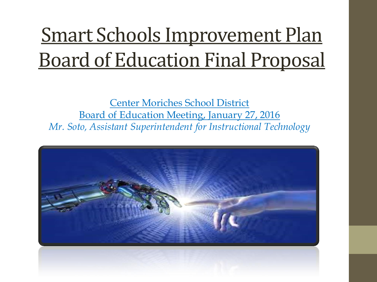## Smart Schools Improvement Plan Board of Education Final Proposal

Center Moriches School District Board of Education Meeting, January 27, 2016 *Mr. Soto, Assistant Superintendent for Instructional Technology* 

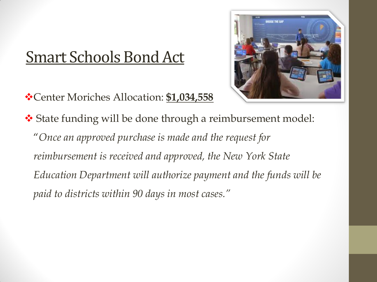### Smart Schools Bond Act

Center Moriches Allocation: **\$1,034,558**



 State funding will be done through a reimbursement model: "*Once an approved purchase is made and the request for reimbursement is received and approved, the New York State Education Department will authorize payment and the funds will be paid to districts within 90 days in most cases."*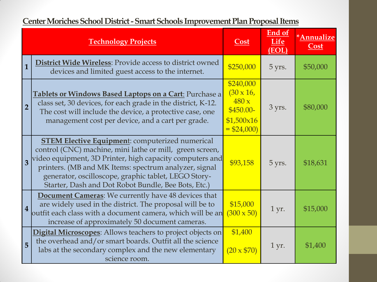| <b>Center Moriches School District - Smart Schools Improvement Plan Proposal Items</b> |  |
|----------------------------------------------------------------------------------------|--|
|                                                                                        |  |

|                         | <b>Technology Projects</b>                                                                                                                                                                                                                                                                                                                             | <b>Cost</b>                                                                        | End of<br>Life<br>(EOL) | *Annualize<br>Cost |
|-------------------------|--------------------------------------------------------------------------------------------------------------------------------------------------------------------------------------------------------------------------------------------------------------------------------------------------------------------------------------------------------|------------------------------------------------------------------------------------|-------------------------|--------------------|
| $\overline{1}$          | <b>District Wide Wireless: Provide access to district owned</b><br>devices and limited guest access to the internet.                                                                                                                                                                                                                                   | \$250,000                                                                          | 5 yrs.                  | \$50,000           |
| $\overline{2}$          | Tablets or Windows Based Laptops on a Cart: Purchase a<br>class set, 30 devices, for each grade in the district, K-12.<br>The cost will include the device, a protective case, one<br>management cost per device, and a cart per grade.                                                                                                                | \$240,000<br>$(30 \times 16,$<br>480x<br>$$450.00-$<br>\$1,500x16<br>$=$ \$24,000) | 3 yrs.                  | \$80,000           |
| $\overline{\mathbf{3}}$ | <b>STEM Elective Equipment:</b> computerized numerical<br>control (CNC) machine, mini lathe or mill, green screen,<br>video equipment, 3D Printer, high capacity computers and<br>printers. (MB and MK Items: spectrum analyzer, signal<br>generator, oscilloscope, graphic tablet, LEGO Story-<br>Starter, Dash and Dot Robot Bundle, Bee Bots, Etc.) | \$93,158                                                                           | 5 yrs.                  | \$18,631           |
| $\overline{\mathbf{4}}$ | <b>Document Cameras:</b> We currently have 48 devices that<br>are widely used in the district. The proposal will be to<br>outfit each class with a document camera, which will be an<br>increase of approximately 50 document cameras.                                                                                                                 | \$15,000<br>$(300 \times 50)$                                                      | $1 \,\mathrm{yr}$ .     | \$15,000           |
| 5                       | <b>Digital Microscopes</b> : Allows teachers to project objects on<br>the overhead and/or smart boards. Outfit all the science<br>labs at the secondary complex and the new elementary<br>science room.                                                                                                                                                | \$1,400<br>$(20 \times $70)$                                                       | 1 yr.                   | \$1,400            |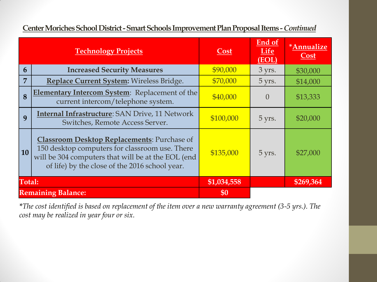|                | <b>Technology Projects</b>                                                                                                                                                                                   | Cost        | <b>End of</b><br><b>Life</b><br>(EOL) | *Annualize<br>Cost |
|----------------|--------------------------------------------------------------------------------------------------------------------------------------------------------------------------------------------------------------|-------------|---------------------------------------|--------------------|
| 6              | <b>Increased Security Measures</b>                                                                                                                                                                           | \$90,000    | 3 yrs.                                | \$30,000           |
| $\overline{7}$ | Replace Current System: Wireless Bridge.                                                                                                                                                                     | \$70,000    | 5 yrs.                                | \$14,000           |
| 8              | <b>Elementary Intercom System:</b> Replacement of the<br>current intercom/telephone system.                                                                                                                  | \$40,000    | $\Omega$                              | \$13,333           |
| 9              | <b>Internal Infrastructure: SAN Drive, 11 Network</b><br>Switches, Remote Access Server.                                                                                                                     | \$100,000   | 5 yrs.                                | \$20,000           |
| <b>10</b>      | <b>Classroom Desktop Replacements: Purchase of</b><br>150 desktop computers for classroom use. There<br>will be 304 computers that will be at the EOL (end<br>of life) by the close of the 2016 school year. | \$135,000   | 5 yrs.                                | \$27,000           |
| Total:         |                                                                                                                                                                                                              | \$1,034,558 |                                       | \$269,364          |
|                | <b>Remaining Balance:</b>                                                                                                                                                                                    | \$0         |                                       |                    |

#### **Center Moriches School District -Smart Schools Improvement Plan Proposal Items***-Continued*

*\*The cost identified is based on replacement of the item over a new warranty agreement (3-5 yrs.). The cost may be realized in year four or six.*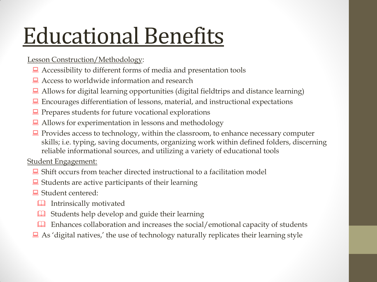# Educational Benefits

### Lesson Construction/Methodology:

- Accessibility to different forms of media and presentation tools
- Access to worldwide information and research
- Allows for digital learning opportunities (digital fieldtrips and distance learning)
- Encourages differentiation of lessons, material, and instructional expectations
- $\Box$  Prepares students for future vocational explorations
- Allows for experimentation in lessons and methodology
- $\Box$  Provides access to technology, within the classroom, to enhance necessary computer skills; i.e. typing, saving documents, organizing work within defined folders, discerning reliable informational sources, and utilizing a variety of educational tools

Student Engagement:

- $\Box$  Shift occurs from teacher directed instructional to a facilitation model
- $\Box$  Students are active participants of their learning
- Student centered:
	- Intrinsically motivated
	- **Example 1** Students help develop and guide their learning
	- Enhances collaboration and increases the social/emotional capacity of students
- $\Box$  As 'digital natives,' the use of technology naturally replicates their learning style